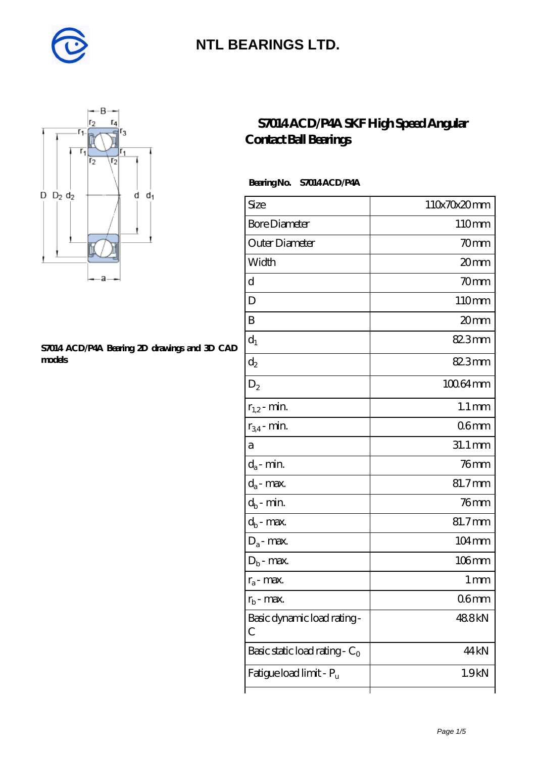



#### **[S7014 ACD/P4A Bearing 2D drawings and 3D CAD](https://m.diabetesfriends.net/pic-590854.html) [models](https://m.diabetesfriends.net/pic-590854.html)**

#### **[S7014 ACD/P4A SKF High Speed Angular](https://m.diabetesfriends.net/skf-bearing/s7014-acd-p4a.html) [Contact Ball Bearings](https://m.diabetesfriends.net/skf-bearing/s7014-acd-p4a.html)**

#### **Bearing No. S7014 ACD/P4A**

| Size                             | 110x70x20mm         |
|----------------------------------|---------------------|
| <b>Bore Diameter</b>             | 110mm               |
| Outer Diameter                   | 70mm                |
| Width                            | 20mm                |
| d                                | 70mm                |
| D                                | 110mm               |
| B                                | 20mm                |
| $d_1$                            | 82.3mm              |
| $\mathrm{d}_2$                   | 82.3mm              |
| $D_2$                            | 100.64mm            |
| $r_{1,2}$ - min.                 | $1.1 \, \text{mm}$  |
| $r_{34}$ - min.                  | 06mm                |
| а                                | 31.1 mm             |
| $d_a$ - min.                     | $76$ mm             |
| $d_{\rm a}$ - max.               | 81.7mm              |
| $d_b$ - min.                     | $76$ mm             |
| $d_b$ - max.                     | 81.7mm              |
| $D_a$ - max.                     | $104 \,\mathrm{mm}$ |
| $D_b$ - max.                     | $106$ mm            |
| $r_a$ - max.                     | 1 mm                |
| $r_{\rm b}$ - max.               | 06 <sub>mm</sub>    |
| Basic dynamic load rating-<br>С  | 488kN               |
| Basic static load rating - $C_0$ | 44 <sub>kN</sub>    |
| Fatigue load limit - Pu          | 1.9kN               |
|                                  |                     |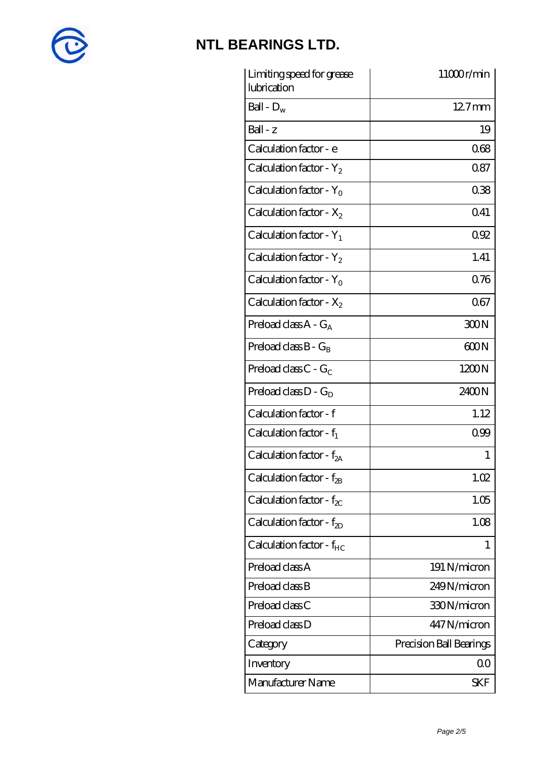

| Limiting speed for grease<br>lubrication | 11000r/min              |
|------------------------------------------|-------------------------|
| Ball - $D_w$                             | $127$ mm                |
| $Ball - z$                               | 19                      |
| Calculation factor - e                   | 068                     |
| Calculation factor - $Y_2$               | 0.87                    |
| Calculation factor - $Y_0$               | 038                     |
| Calculation factor - $X_2$               | Q41                     |
| Calculation factor - $Y_1$               | 092                     |
| Calculation factor - $Y_2$               | 1.41                    |
| Calculation factor - $Y_0$               | 0.76                    |
| Calculation factor - $X_2$               | 067                     |
| Preload class $A - G_A$                  | 300N                    |
| Preload class $B - G_B$                  | 600N                    |
| Preload class $C - G_C$                  | 1200N                   |
| Preload class $D - G_D$                  | 2400N                   |
| Calculation factor - f                   | 1.12                    |
| Calculation factor - $f_1$               | 0.99                    |
| Calculation factor - $f_{2A}$            | 1                       |
| Calculation factor - $f_{2B}$            | 1.02                    |
| Calculation factor - $f_{\chi}$          | 1.05                    |
| Calculation factor - $f_{2D}$            | 1.08                    |
| Calculation factor - $f_{HC}$            | 1                       |
| Preload class A                          | 191 N/micron            |
| Preload class B                          | 249N/micron             |
| Preload class C                          | 330N/micron             |
| Preload class D                          | 447N/micron             |
| Category                                 | Precision Ball Bearings |
| Inventory                                | 0 <sup>0</sup>          |
| Manufacturer Name                        | SKF                     |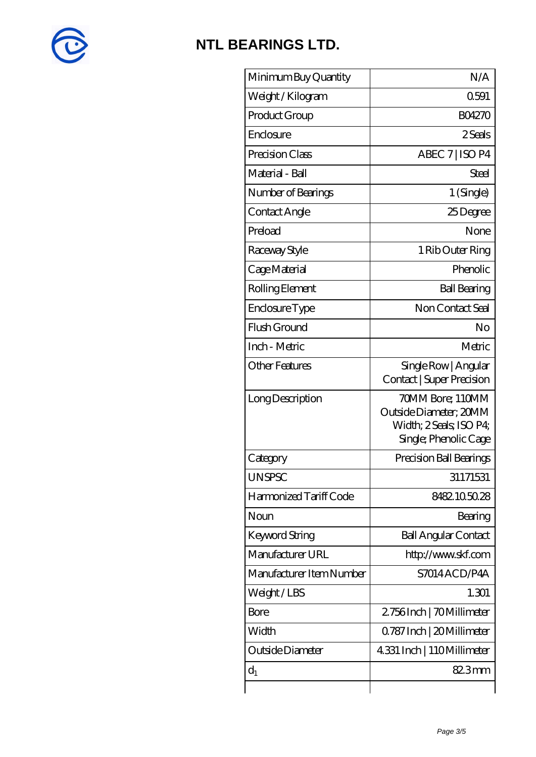

| Minimum Buy Quantity     | N/A                                                                                            |
|--------------------------|------------------------------------------------------------------------------------------------|
| Weight / Kilogram        | 0591                                                                                           |
| Product Group            | <b>BO4270</b>                                                                                  |
| Enclosure                | 2 Seals                                                                                        |
| Precision Class          | ABEC 7   ISO P4                                                                                |
| Material - Ball          | Steel                                                                                          |
| Number of Bearings       | 1 (Single)                                                                                     |
| Contact Angle            | 25Degree                                                                                       |
| Preload                  | None                                                                                           |
| Raceway Style            | 1 Rib Outer Ring                                                                               |
| Cage Material            | Phenolic                                                                                       |
| Rolling Element          | <b>Ball Bearing</b>                                                                            |
| Enclosure Type           | Non Contact Seal                                                                               |
| Flush Ground             | No                                                                                             |
| Inch - Metric            | Metric                                                                                         |
| <b>Other Features</b>    | Single Row   Angular<br>Contact   Super Precision                                              |
| Long Description         | 70MM Bore; 110MM<br>Outside Diameter; 20MM<br>Width; 2 Seals; ISO P4;<br>Single; Phenolic Cage |
| Category                 | Precision Ball Bearings                                                                        |
| <b>UNSPSC</b>            | 31171531                                                                                       |
| Harmonized Tariff Code   | 8482105028                                                                                     |
| Noun                     | Bearing                                                                                        |
| Keyword String           | <b>Ball Angular Contact</b>                                                                    |
| Manufacturer URL         | http://www.skf.com                                                                             |
| Manufacturer Item Number | S7014ACD/P4A                                                                                   |
| Weight/LBS               | 1.301                                                                                          |
| Bore                     | 2756Inch   70Millimeter                                                                        |
| Width                    | 0.787 Inch   20 Millimeter                                                                     |
| Outside Diameter         | 4.331 Inch   110Millimeter                                                                     |
| $d_1$                    | 82.3mm                                                                                         |
|                          |                                                                                                |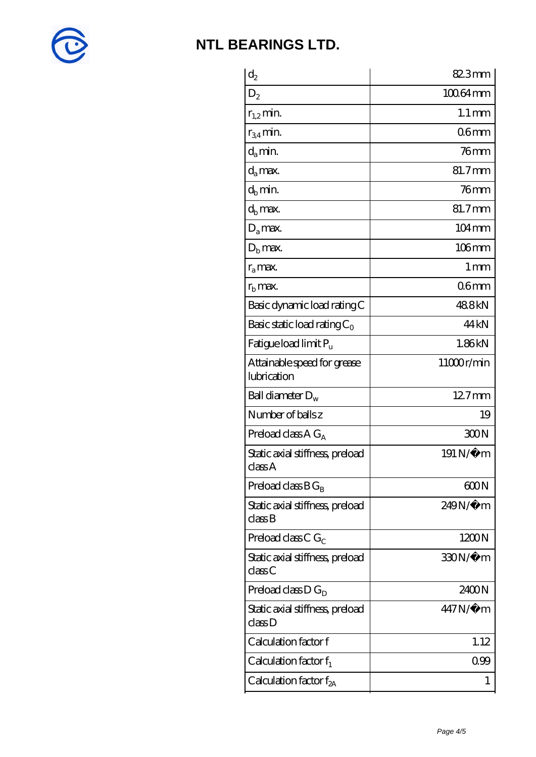

| $\mathrm{d}_2$                             | 82.3mm              |
|--------------------------------------------|---------------------|
| $D_2$                                      | 10064mm             |
| $r_{1,2}$ min.                             | $1.1 \,\mathrm{mm}$ |
| $r_{34}$ min.                              | 06 <sub>mm</sub>    |
| d <sub>a</sub> min.                        | $76$ mm             |
| $d_a$ max.                                 | 81.7mm              |
| $d_h$ min.                                 | $76$ mm             |
| d <sub>b</sub> max.                        | 81.7mm              |
| $D_a$ max.                                 | $104 \,\mathrm{mm}$ |
| $D_{b}$ max.                               | $106$ mm            |
| $r_a$ max.                                 | 1 <sub>mm</sub>     |
| $r_{\rm b}$ max.                           | 06 <sub>mm</sub>    |
| Basic dynamic load rating C                | 488kN               |
| Basic static load rating $C_0$             | 44 <sub>kN</sub>    |
| Fatigue load limit Pu                      | 1.86kN              |
| Attainable speed for grease<br>lubrication | 11000r/min          |
| Ball diameter $D_w$                        | 12.7mm              |
| Number of balls z                          | 19                  |
| Preload class $A G_A$                      | 300N                |
| Static axial stiffness, preload<br>class A | 191 N/μ m           |
| Preload class $BG_B$                       | 600N                |
| Static axial stiffness, preload<br>classB  | 249N/µ m            |
| Preload class C $G_C$                      | 1200N               |
| Static axial stiffness, preload<br>classC  | 330N/µ m            |
| Preload class $D G_D$                      | 2400N               |
| Static axial stiffness, preload<br>class D | 447N/μ m            |
| Calculation factor f                       | 1.12                |
| Calculation factor $f_1$                   | 099                 |
| Calculation factor $f_{2A}$                | 1                   |
|                                            |                     |